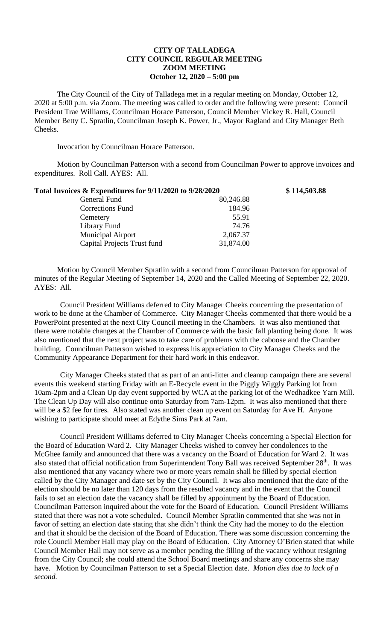## **CITY OF TALLADEGA CITY COUNCIL REGULAR MEETING ZOOM MEETING October 12, 2020 – 5:00 pm**

The City Council of the City of Talladega met in a regular meeting on Monday, October 12, 2020 at 5:00 p.m. via Zoom. The meeting was called to order and the following were present: Council President Trae Williams, Councilman Horace Patterson, Council Member Vickey R. Hall, Council Member Betty C. Spratlin, Councilman Joseph K. Power, Jr., Mayor Ragland and City Manager Beth Cheeks.

Invocation by Councilman Horace Patterson.

Motion by Councilman Patterson with a second from Councilman Power to approve invoices and expenditures. Roll Call. AYES: All.

| Total Invoices & Expenditures for 9/11/2020 to 9/28/2020 |           | \$114,503.88 |
|----------------------------------------------------------|-----------|--------------|
| General Fund                                             | 80,246.88 |              |
| <b>Corrections Fund</b>                                  | 184.96    |              |
| Cemetery                                                 | 55.91     |              |
| Library Fund                                             | 74.76     |              |
| <b>Municipal Airport</b>                                 | 2,067.37  |              |
| Capital Projects Trust fund                              | 31,874.00 |              |
|                                                          |           |              |

Motion by Council Member Spratlin with a second from Councilman Patterson for approval of minutes of the Regular Meeting of September 14, 2020 and the Called Meeting of September 22, 2020. AYES: All.

Council President Williams deferred to City Manager Cheeks concerning the presentation of work to be done at the Chamber of Commerce. City Manager Cheeks commented that there would be a PowerPoint presented at the next City Council meeting in the Chambers. It was also mentioned that there were notable changes at the Chamber of Commerce with the basic fall planting being done. It was also mentioned that the next project was to take care of problems with the caboose and the Chamber building. Councilman Patterson wished to express his appreciation to City Manager Cheeks and the Community Appearance Department for their hard work in this endeavor.

City Manager Cheeks stated that as part of an anti-litter and cleanup campaign there are several events this weekend starting Friday with an E-Recycle event in the Piggly Wiggly Parking lot from 10am-2pm and a Clean Up day event supported by WCA at the parking lot of the Wedhadkee Yarn Mill. The Clean Up Day will also continue onto Saturday from 7am-12pm. It was also mentioned that there will be a \$2 fee for tires. Also stated was another clean up event on Saturday for Ave H. Anyone wishing to participate should meet at Edythe Sims Park at 7am.

Council President Williams deferred to City Manager Cheeks concerning a Special Election for the Board of Education Ward 2. City Manager Cheeks wished to convey her condolences to the McGhee family and announced that there was a vacancy on the Board of Education for Ward 2. It was also stated that official notification from Superintendent Tony Ball was received September 28<sup>th</sup>. It was also mentioned that any vacancy where two or more years remain shall be filled by special election called by the City Manager and date set by the City Council. It was also mentioned that the date of the election should be no later than 120 days from the resulted vacancy and in the event that the Council fails to set an election date the vacancy shall be filled by appointment by the Board of Education. Councilman Patterson inquired about the vote for the Board of Education. Council President Williams stated that there was not a vote scheduled. Council Member Spratlin commented that she was not in favor of setting an election date stating that she didn't think the City had the money to do the election and that it should be the decision of the Board of Education. There was some discussion concerning the role Council Member Hall may play on the Board of Education. City Attorney O'Brien stated that while Council Member Hall may not serve as a member pending the filling of the vacancy without resigning from the City Council; she could attend the School Board meetings and share any concerns she may have. Motion by Councilman Patterson to set a Special Election date. *Motion dies due to lack of a second.*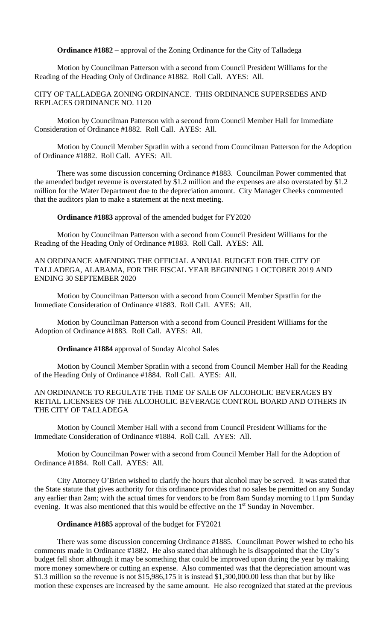**Ordinance #1882 –** approval of the Zoning Ordinance for the City of Talladega

Motion by Councilman Patterson with a second from Council President Williams for the Reading of the Heading Only of Ordinance #1882. Roll Call. AYES: All.

CITY OF TALLADEGA ZONING ORDINANCE. THIS ORDINANCE SUPERSEDES AND REPLACES ORDINANCE NO. 1120

Motion by Councilman Patterson with a second from Council Member Hall for Immediate Consideration of Ordinance #1882. Roll Call. AYES: All.

Motion by Council Member Spratlin with a second from Councilman Patterson for the Adoption of Ordinance #1882. Roll Call. AYES: All.

There was some discussion concerning Ordinance #1883. Councilman Power commented that the amended budget revenue is overstated by \$1.2 million and the expenses are also overstated by \$1.2 million for the Water Department due to the depreciation amount. City Manager Cheeks commented that the auditors plan to make a statement at the next meeting.

**Ordinance #1883** approval of the amended budget for FY2020

Motion by Councilman Patterson with a second from Council President Williams for the Reading of the Heading Only of Ordinance #1883. Roll Call. AYES: All.

AN ORDINANCE AMENDING THE OFFICIAL ANNUAL BUDGET FOR THE CITY OF TALLADEGA, ALABAMA, FOR THE FISCAL YEAR BEGINNING 1 OCTOBER 2019 AND ENDING 30 SEPTEMBER 2020

Motion by Councilman Patterson with a second from Council Member Spratlin for the Immediate Consideration of Ordinance #1883. Roll Call. AYES: All.

Motion by Councilman Patterson with a second from Council President Williams for the Adoption of Ordinance #1883. Roll Call. AYES: All.

**Ordinance #1884** approval of Sunday Alcohol Sales

Motion by Council Member Spratlin with a second from Council Member Hall for the Reading of the Heading Only of Ordinance #1884. Roll Call. AYES: All.

AN ORDINANCE TO REGULATE THE TIME OF SALE OF ALCOHOLIC BEVERAGES BY RETIAL LICENSEES OF THE ALCOHOLIC BEVERAGE CONTROL BOARD AND OTHERS IN THE CITY OF TALLADEGA

Motion by Council Member Hall with a second from Council President Williams for the Immediate Consideration of Ordinance #1884. Roll Call. AYES: All.

Motion by Councilman Power with a second from Council Member Hall for the Adoption of Ordinance #1884. Roll Call. AYES: All.

City Attorney O'Brien wished to clarify the hours that alcohol may be served. It was stated that the State statute that gives authority for this ordinance provides that no sales be permitted on any Sunday any earlier than 2am; with the actual times for vendors to be from 8am Sunday morning to 11pm Sunday evening. It was also mentioned that this would be effective on the 1<sup>st</sup> Sunday in November.

### **Ordinance #1885** approval of the budget for FY2021

There was some discussion concerning Ordinance #1885. Councilman Power wished to echo his comments made in Ordinance #1882. He also stated that although he is disappointed that the City's budget fell short although it may be something that could be improved upon during the year by making more money somewhere or cutting an expense. Also commented was that the depreciation amount was \$1.3 million so the revenue is not \$15,986,175 it is instead \$1,300,000.00 less than that but by like motion these expenses are increased by the same amount. He also recognized that stated at the previous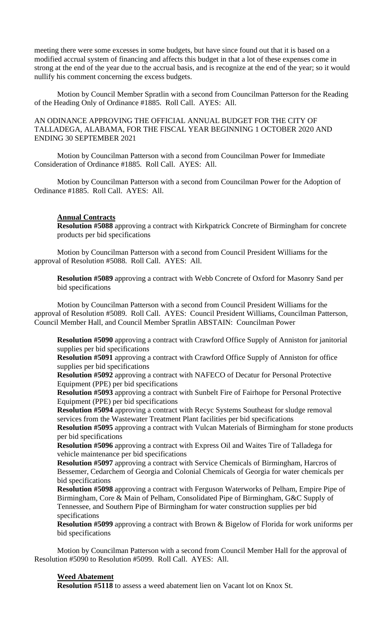meeting there were some excesses in some budgets, but have since found out that it is based on a modified accrual system of financing and affects this budget in that a lot of these expenses come in strong at the end of the year due to the accrual basis, and is recognize at the end of the year; so it would nullify his comment concerning the excess budgets.

Motion by Council Member Spratlin with a second from Councilman Patterson for the Reading of the Heading Only of Ordinance #1885. Roll Call. AYES: All.

## AN ODINANCE APPROVING THE OFFICIAL ANNUAL BUDGET FOR THE CITY OF TALLADEGA, ALABAMA, FOR THE FISCAL YEAR BEGINNING 1 OCTOBER 2020 AND ENDING 30 SEPTEMBER 2021

Motion by Councilman Patterson with a second from Councilman Power for Immediate Consideration of Ordinance #1885. Roll Call. AYES: All.

Motion by Councilman Patterson with a second from Councilman Power for the Adoption of Ordinance #1885. Roll Call. AYES: All.

### **Annual Contracts**

**Resolution #5088** approving a contract with Kirkpatrick Concrete of Birmingham for concrete products per bid specifications

Motion by Councilman Patterson with a second from Council President Williams for the approval of Resolution #5088. Roll Call. AYES: All.

**Resolution #5089** approving a contract with Webb Concrete of Oxford for Masonry Sand per bid specifications

Motion by Councilman Patterson with a second from Council President Williams for the approval of Resolution #5089. Roll Call. AYES: Council President Williams, Councilman Patterson, Council Member Hall, and Council Member Spratlin ABSTAIN: Councilman Power

**Resolution #5090** approving a contract with Crawford Office Supply of Anniston for janitorial supplies per bid specifications

**Resolution #5091** approving a contract with Crawford Office Supply of Anniston for office supplies per bid specifications

**Resolution #5092** approving a contract with NAFECO of Decatur for Personal Protective Equipment (PPE) per bid specifications

**Resolution #5093** approving a contract with Sunbelt Fire of Fairhope for Personal Protective Equipment (PPE) per bid specifications

**Resolution #5094** approving a contract with Recyc Systems Southeast for sludge removal services from the Wastewater Treatment Plant facilities per bid specifications

**Resolution #5095** approving a contract with Vulcan Materials of Birmingham for stone products per bid specifications

**Resolution #5096** approving a contract with Express Oil and Waites Tire of Talladega for vehicle maintenance per bid specifications

**Resolution #5097** approving a contract with Service Chemicals of Birmingham, Harcros of Bessemer, Cedarchem of Georgia and Colonial Chemicals of Georgia for water chemicals per bid specifications

**Resolution #5098** approving a contract with Ferguson Waterworks of Pelham, Empire Pipe of Birmingham, Core & Main of Pelham, Consolidated Pipe of Birmingham, G&C Supply of Tennessee, and Southern Pipe of Birmingham for water construction supplies per bid specifications

**Resolution #5099** approving a contract with Brown & Bigelow of Florida for work uniforms per bid specifications

Motion by Councilman Patterson with a second from Council Member Hall for the approval of Resolution #5090 to Resolution #5099. Roll Call. AYES: All.

### **Weed Abatement**

**Resolution #5118** to assess a weed abatement lien on Vacant lot on Knox St.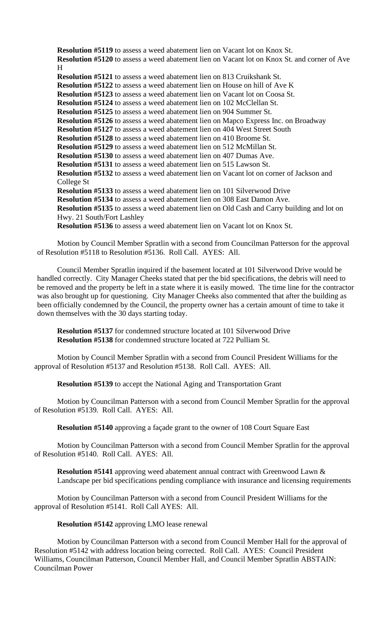**Resolution #5119** to assess a weed abatement lien on Vacant lot on Knox St. **Resolution #5120** to assess a weed abatement lien on Vacant lot on Knox St. and corner of Ave H **Resolution #5121** to assess a weed abatement lien on 813 Cruikshank St. **Resolution #5122** to assess a weed abatement lien on House on hill of Ave K **Resolution #5123** to assess a weed abatement lien on Vacant lot on Coosa St. **Resolution #5124** to assess a weed abatement lien on 102 McClellan St. **Resolution #5125** to assess a weed abatement lien on 904 Summer St. **Resolution #5126** to assess a weed abatement lien on Mapco Express Inc. on Broadway **Resolution #5127** to assess a weed abatement lien on 404 West Street South **Resolution #5128** to assess a weed abatement lien on 410 Broome St. **Resolution #5129** to assess a weed abatement lien on 512 McMillan St. **Resolution #5130** to assess a weed abatement lien on 407 Dumas Ave. **Resolution #5131** to assess a weed abatement lien on 515 Lawson St. **Resolution #5132** to assess a weed abatement lien on Vacant lot on corner of Jackson and College St **Resolution #5133** to assess a weed abatement lien on 101 Silverwood Drive **Resolution #5134** to assess a weed abatement lien on 308 East Damon Ave. **Resolution #5135** to assess a weed abatement lien on Old Cash and Carry building and lot on Hwy. 21 South/Fort Lashley **Resolution #5136** to assess a weed abatement lien on Vacant lot on Knox St.

Motion by Council Member Spratlin with a second from Councilman Patterson for the approval of Resolution #5118 to Resolution #5136. Roll Call. AYES: All.

Council Member Spratlin inquired if the basement located at 101 Silverwood Drive would be handled correctly. City Manager Cheeks stated that per the bid specifications, the debris will need to be removed and the property be left in a state where it is easily mowed. The time line for the contractor was also brought up for questioning. City Manager Cheeks also commented that after the building as been officially condemned by the Council, the property owner has a certain amount of time to take it down themselves with the 30 days starting today.

**Resolution #5137** for condemned structure located at 101 Silverwood Drive **Resolution #5138** for condemned structure located at 722 Pulliam St.

Motion by Council Member Spratlin with a second from Council President Williams for the approval of Resolution #5137 and Resolution #5138. Roll Call. AYES: All.

**Resolution #5139** to accept the National Aging and Transportation Grant

Motion by Councilman Patterson with a second from Council Member Spratlin for the approval of Resolution #5139. Roll Call. AYES: All.

**Resolution #5140** approving a façade grant to the owner of 108 Court Square East

Motion by Councilman Patterson with a second from Council Member Spratlin for the approval of Resolution #5140. Roll Call. AYES: All.

**Resolution #5141** approving weed abatement annual contract with Greenwood Lawn  $\&$ Landscape per bid specifications pending compliance with insurance and licensing requirements

Motion by Councilman Patterson with a second from Council President Williams for the approval of Resolution #5141. Roll Call AYES: All.

**Resolution #5142** approving LMO lease renewal

Motion by Councilman Patterson with a second from Council Member Hall for the approval of Resolution #5142 with address location being corrected. Roll Call. AYES: Council President Williams, Councilman Patterson, Council Member Hall, and Council Member Spratlin ABSTAIN: Councilman Power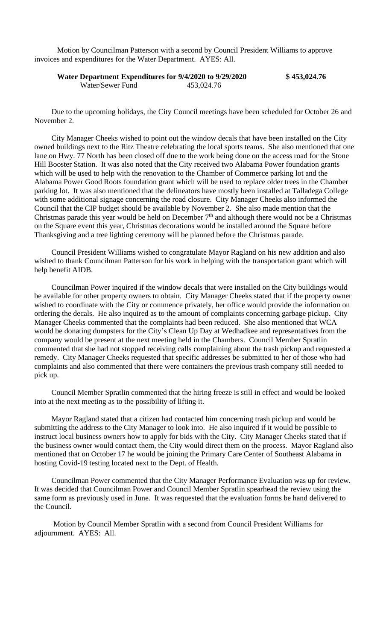Motion by Councilman Patterson with a second by Council President Williams to approve invoices and expenditures for the Water Department. AYES: All.

# **Water Department Expenditures for 9/4/2020 to 9/29/2020 \$ 453,024.76** Water/Sewer Fund 453,024.76

Due to the upcoming holidays, the City Council meetings have been scheduled for October 26 and November 2.

City Manager Cheeks wished to point out the window decals that have been installed on the City owned buildings next to the Ritz Theatre celebrating the local sports teams. She also mentioned that one lane on Hwy. 77 North has been closed off due to the work being done on the access road for the Stone Hill Booster Station. It was also noted that the City received two Alabama Power foundation grants which will be used to help with the renovation to the Chamber of Commerce parking lot and the Alabama Power Good Roots foundation grant which will be used to replace older trees in the Chamber parking lot. It was also mentioned that the delineators have mostly been installed at Talladega College with some additional signage concerning the road closure. City Manager Cheeks also informed the Council that the CIP budget should be available by November 2. She also made mention that the Christmas parade this year would be held on December  $7<sup>th</sup>$  and although there would not be a Christmas on the Square event this year, Christmas decorations would be installed around the Square before Thanksgiving and a tree lighting ceremony will be planned before the Christmas parade.

Council President Williams wished to congratulate Mayor Ragland on his new addition and also wished to thank Councilman Patterson for his work in helping with the transportation grant which will help benefit AIDB.

Councilman Power inquired if the window decals that were installed on the City buildings would be available for other property owners to obtain. City Manager Cheeks stated that if the property owner wished to coordinate with the City or commence privately, her office would provide the information on ordering the decals. He also inquired as to the amount of complaints concerning garbage pickup. City Manager Cheeks commented that the complaints had been reduced. She also mentioned that WCA would be donating dumpsters for the City's Clean Up Day at Wedhadkee and representatives from the company would be present at the next meeting held in the Chambers. Council Member Spratlin commented that she had not stopped receiving calls complaining about the trash pickup and requested a remedy. City Manager Cheeks requested that specific addresses be submitted to her of those who had complaints and also commented that there were containers the previous trash company still needed to pick up.

Council Member Spratlin commented that the hiring freeze is still in effect and would be looked into at the next meeting as to the possibility of lifting it.

Mayor Ragland stated that a citizen had contacted him concerning trash pickup and would be submitting the address to the City Manager to look into. He also inquired if it would be possible to instruct local business owners how to apply for bids with the City. City Manager Cheeks stated that if the business owner would contact them, the City would direct them on the process. Mayor Ragland also mentioned that on October 17 he would be joining the Primary Care Center of Southeast Alabama in hosting Covid-19 testing located next to the Dept. of Health.

Councilman Power commented that the City Manager Performance Evaluation was up for review. It was decided that Councilman Power and Council Member Spratlin spearhead the review using the same form as previously used in June. It was requested that the evaluation forms be hand delivered to the Council.

Motion by Council Member Spratlin with a second from Council President Williams for adjournment. AYES: All.